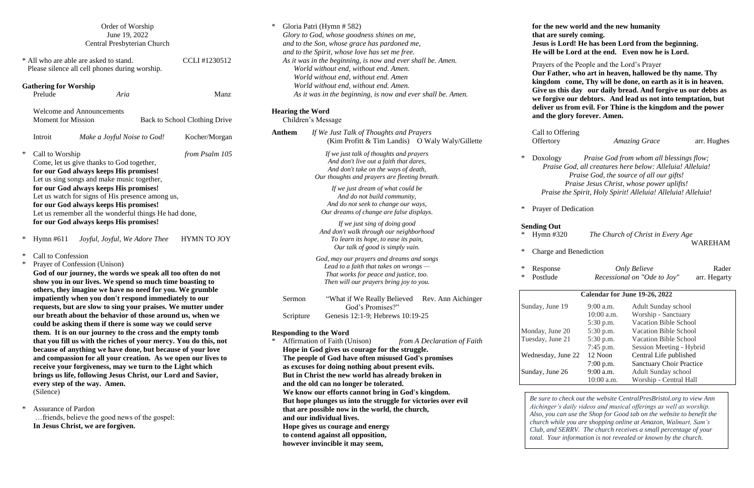|        |                                         | Order of Worship<br>June 19, 2022<br>Central Presbyterian Church                                                                                                                                                                                                                                                                                                                                                                                                                                                                                                                                                                                                                                                                                                                                                                                                                                    |                               | ∗                    |
|--------|-----------------------------------------|-----------------------------------------------------------------------------------------------------------------------------------------------------------------------------------------------------------------------------------------------------------------------------------------------------------------------------------------------------------------------------------------------------------------------------------------------------------------------------------------------------------------------------------------------------------------------------------------------------------------------------------------------------------------------------------------------------------------------------------------------------------------------------------------------------------------------------------------------------------------------------------------------------|-------------------------------|----------------------|
|        |                                         | * All who are able are asked to stand.<br>Please silence all cell phones during worship.                                                                                                                                                                                                                                                                                                                                                                                                                                                                                                                                                                                                                                                                                                                                                                                                            | CCLI#1230512                  |                      |
|        | <b>Gathering for Worship</b><br>Prelude | Aria                                                                                                                                                                                                                                                                                                                                                                                                                                                                                                                                                                                                                                                                                                                                                                                                                                                                                                | Manz                          |                      |
|        | <b>Moment</b> for Mission               | <b>Welcome and Announcements</b>                                                                                                                                                                                                                                                                                                                                                                                                                                                                                                                                                                                                                                                                                                                                                                                                                                                                    | Back to School Clothing Drive | Hea                  |
|        | Introit                                 | Make a Joyful Noise to God!                                                                                                                                                                                                                                                                                                                                                                                                                                                                                                                                                                                                                                                                                                                                                                                                                                                                         | Kocher/Morgan                 | An <sub>1</sub>      |
| ∗      | Call to Worship                         | Come, let us give thanks to God together,<br>for our God always keeps His promises!<br>Let us sing songs and make music together,<br>for our God always keeps His promises!<br>Let us watch for signs of His presence among us,<br>for our God always keeps His promises!<br>Let us remember all the wonderful things He had done,<br>for our God always keeps His promises!                                                                                                                                                                                                                                                                                                                                                                                                                                                                                                                        | from Psalm 105                |                      |
| ∗      |                                         | Hymn #611 <i>Joyful, Joyful, We Adore Thee</i>                                                                                                                                                                                                                                                                                                                                                                                                                                                                                                                                                                                                                                                                                                                                                                                                                                                      | <b>HYMN TO JOY</b>            |                      |
| *<br>* | Call to Confession<br>(Silence)         | Prayer of Confession (Unison)<br>God of our journey, the words we speak all too often do not<br>show you in our lives. We spend so much time boasting to<br>others, they imagine we have no need for you. We grumble<br>impatiently when you don't respond immediately to our<br>requests, but are slow to sing your praises. We mutter under<br>our breath about the behavior of those around us, when we<br>could be asking them if there is some way we could serve<br>them. It is on our journey to the cross and the empty tomb<br>that you fill us with the riches of your mercy. You do this, not<br>because of anything we have done, but because of your love<br>and compassion for all your creation. As we open our lives to<br>receive your forgiveness, may we turn to the Light which<br>brings us life, following Jesus Christ, our Lord and Savior,<br>every step of the way. Amen. |                               | <b>Res</b><br>$\ast$ |
| ∗      | <b>Assurance of Pardon</b>              | friends, believe the good news of the gospel:<br>In Jesus Christ, we are forgiven.                                                                                                                                                                                                                                                                                                                                                                                                                                                                                                                                                                                                                                                                                                                                                                                                                  |                               |                      |

| ∗                                                                                                                                                                                         | Gloria Patri (Hymn # 582)<br>Glory to God, whose goodness shines on me,<br>and to the Son, whose grace has pardoned me,<br>and to the Spirit, whose love has set me free.<br>As it was in the beginning, is now and ever shall be. Amen.                                      |                                                                            |  |  |  |
|-------------------------------------------------------------------------------------------------------------------------------------------------------------------------------------------|-------------------------------------------------------------------------------------------------------------------------------------------------------------------------------------------------------------------------------------------------------------------------------|----------------------------------------------------------------------------|--|--|--|
| World without end, without end. Amen.<br>World without end, without end. Amen<br>World without end, without end. Amen.<br>As it was in the beginning, is now and ever shall be. Amen.     | Prayers<br>Our Fa<br>kingdor<br>Give us<br>we forg                                                                                                                                                                                                                            |                                                                            |  |  |  |
| <b>Hearing the Word</b>                                                                                                                                                                   | Children's Message                                                                                                                                                                                                                                                            | deliver<br>and the                                                         |  |  |  |
| Anthem                                                                                                                                                                                    | If We Just Talk of Thoughts and Prayers<br>(Kim Profitt & Tim Landis) O Waly Waly/Gillette                                                                                                                                                                                    | Call to<br>Offertor                                                        |  |  |  |
|                                                                                                                                                                                           | If we just talk of thoughts and prayers<br>And don't live out a faith that dares,<br>And don't take on the ways of death,<br>Our thoughts and prayers are fleeting breath.                                                                                                    | *<br>Doxolo<br>Prai                                                        |  |  |  |
|                                                                                                                                                                                           | If we just dream of what could be<br>And do not build community,<br>And do not seek to change our ways,<br>Our dreams of change are false displays.                                                                                                                           | Prai<br>*<br>Prayer of                                                     |  |  |  |
|                                                                                                                                                                                           | If we just sing of doing good<br>And don't walk through our neighborhood<br>To learn its hope, to ease its pain,<br>Our talk of good is simply vain.                                                                                                                          | <b>Sending Of</b><br>∗<br>Hymn $\#$<br>*                                   |  |  |  |
|                                                                                                                                                                                           | God, may our prayers and dreams and songs<br>Lead to a faith that takes on wrongs $-$<br>That works for peace and justice, too.<br>Then will our prayers bring joy to you.                                                                                                    | Charge<br>∗<br>Respon<br>*<br>Postlud                                      |  |  |  |
| Sermon                                                                                                                                                                                    | "What if We Really Believed Rev. Ann Aichinger<br>God's Promises?"<br>Genesis 12:1-9; Hebrews 10:19-25                                                                                                                                                                        | Sunday, Jun                                                                |  |  |  |
| Scripture<br><b>Responding to the Word</b><br>Affirmation of Faith (Unison)<br>*<br>Hope in God gives us courage for the struggle.<br>The people of God have often misused God's promises | Monday, Ju<br>Tuesday, Ju<br>Wednesday,                                                                                                                                                                                                                                       |                                                                            |  |  |  |
|                                                                                                                                                                                           | as excuses for doing nothing about present evils.<br>But in Christ the new world has already broken in<br>and the old can no longer be tolerated.                                                                                                                             |                                                                            |  |  |  |
|                                                                                                                                                                                           | We know our efforts cannot bring in God's kingdom.<br>But hope plunges us into the struggle for victories over evil<br>that are possible now in the world, the church,<br>and our individual lives.<br>Hope gives us courage and energy<br>to contend against all opposition, | Be sure to<br>Aichinger<br>Also, you<br>church w<br>Club, and<br>total. Yo |  |  |  |
|                                                                                                                                                                                           | however invincible it may seem,                                                                                                                                                                                                                                               |                                                                            |  |  |  |

**for the new world and the new humanity that are surely coming. Jesus is Lord! He has been Lord from the beginning. He will be Lord at the end. Even now he is Lord.** rayers of the People and the Lord's Prayer **Our Father, who art in heaven, hallowed be thy name. Thy kingdom come, Thy will be done, on earth as it is in heaven. Give us this day our daily bread. And forgive us our debts as we forgive our debtors. And lead us not into temptation, but deliver us from evil. For Thine is the kingdom and the power and the glory forever. Amen.**  all to Offering *Amazing Grace* arr. Hughes

\* Doxology *Praise God from whom all blessings flow; Praise God, all creatures here below: Alleluia! Alleluia! Praise God, the source of all our gifts! Praise Jesus Christ, whose power uplifts! Praise the Spirit, Holy Spirit! Alleluia! Alleluia! Alleluia!*

rayer of Dedication

#### **Sending Out**

\* Hymn #320 *The Church of Christ in Every Age*

harge and Benediction

WAREHAM

| *.<br>Response<br>*<br>Postlude |              | <b>Only Believe</b><br>Recessional on "Ode to Joy" | Rader<br>arr. Hegarty |  |  |  |  |  |
|---------------------------------|--------------|----------------------------------------------------|-----------------------|--|--|--|--|--|
| Calendar for June 19-26, 2022   |              |                                                    |                       |  |  |  |  |  |
| Sunday, June 19                 | $9:00$ a.m.  | <b>Adult Sunday school</b>                         |                       |  |  |  |  |  |
|                                 | $10:00$ a.m. | Worship - Sanctuary                                |                       |  |  |  |  |  |
|                                 | 5:30 p.m.    | <b>Vacation Bible School</b>                       |                       |  |  |  |  |  |
| Monday, June 20                 | 5:30 p.m.    | <b>Vacation Bible School</b>                       |                       |  |  |  |  |  |
| Tuesday, June 21                | 5:30 p.m.    | <b>Vacation Bible School</b>                       |                       |  |  |  |  |  |
|                                 | $7:45$ p.m.  | Session Meeting - Hybrid                           |                       |  |  |  |  |  |
| Wednesday, June 22              | 12 Noon      | Central Life published                             |                       |  |  |  |  |  |
|                                 | $7:00$ p.m.  | <b>Sanctuary Choir Practice</b>                    |                       |  |  |  |  |  |
| Sunday, June 26                 | 9:00 a.m.    | <b>Adult Sunday school</b>                         |                       |  |  |  |  |  |
|                                 | 10:00 a.m.   | Worship - Central Hall                             |                       |  |  |  |  |  |

*Be sure to check out the website CentralPresBristol.org to view Ann Aichinger's daily videos and musical offerings as well as worship. Also, you can use the Shop for Good tab on the website to benefit the church while you are shopping online at Amazon, Walmart, Sam's Club, and SERRV. The church receives a small percentage of your total. Your information is not revealed or known by the church.*